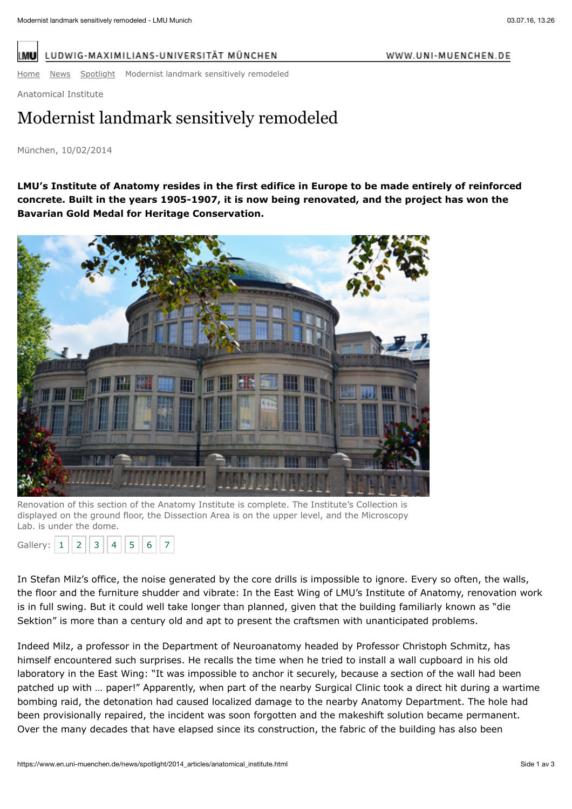WWW.UNI-MUENCHEN.DE

I ML

LUDWIG-MAXIMILIANS-UNIVERSITÄT MÜNCHEN

[Home](https://www.en.uni-muenchen.de/index.html) [News](https://www.en.uni-muenchen.de/news/index.html) [Spotlight](https://www.en.uni-muenchen.de/news/spotlight/index.html) Modernist landmark sensitively remodeled

Anatomical Institute

## Modernist landmark sensitively remodeled

## München, 10/02/2014

**LMU's Institute of Anatomy resides in the first edifice in Europe to be made entirely of reinforced concrete. Built in the years 1905-1907, it is now being renovated, and the project has won the Bavarian Gold Medal for Heritage Conservation.**



Renovation of this section of the Anatomy Institute is complete. The Institute's Collection is displayed on the ground floor, the Dissection Area is on the upper level, and the Microscopy Lab. is under the dome.

| Gallery: | . . |  |  |  |  |  |  |  |
|----------|-----|--|--|--|--|--|--|--|
|----------|-----|--|--|--|--|--|--|--|

In Stefan Milz's office, the noise generated by the core drills is impossible to ignore. Every so often, the walls, the floor and the furniture shudder and vibrate: In the East Wing of LMU's Institute of Anatomy, renovation work is in full swing. But it could well take longer than planned, given that the building familiarly known as "die Sektion" is more than a century old and apt to present the craftsmen with unanticipated problems.

Indeed Milz, a professor in the Department of Neuroanatomy headed by Professor Christoph Schmitz, has himself encountered such surprises. He recalls the time when he tried to install a wall cupboard in his old laboratory in the East Wing: "It was impossible to anchor it securely, because a section of the wall had been patched up with … paper!" Apparently, when part of the nearby Surgical Clinic took a direct hit during a wartime bombing raid, the detonation had caused localized damage to the nearby Anatomy Department. The hole had been provisionally repaired, the incident was soon forgotten and the makeshift solution became permanent. Over the many decades that have elapsed since its construction, the fabric of the building has also been